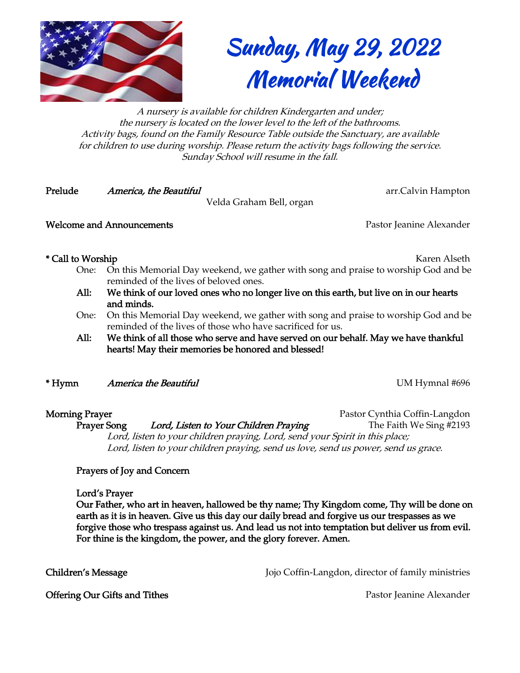

Sunday, May 29, 2022 Memorial Weekend

*A nursery is available for children Kindergarten and under; the nursery is located on the lower level to the left of the bathrooms. Activity bags, found on the Family Resource Table outside the Sanctuary, are available for children to use during worship. Please return the activity bags following the service. Sunday School will resume in the fall.*

**Prelude** *<i>America, the Beautiful America, the Beautiful arr.Calvin Hampton* 

*Velda Graham Bell, organ*

## *Welcome and Announcements Pastor Jeanine Alexander*

# *\* Call to Worship Karen Alseth*

- *One: On this Memorial Day weekend, we gather with song and praise to worship God and be reminded of the lives of beloved ones.*
- *All: We think of our loved ones who no longer live on this earth, but live on in our hearts and minds.*
- *One: On this Memorial Day weekend, we gather with song and praise to worship God and be reminded of the lives of those who have sacrificed for us.*
- *All: We think of all those who serve and have served on our behalf. May we have thankful hearts! May their memories be honored and blessed!*
- *\* Hymn America the Beautiful UM Hymnal #696*

*Prayer Song Lord, Listen to Your Children Praying The Faith We Sing #2193*

**Morning Prayer Pastor Cynthia Coffin-Langdon** 

 *Lord, listen to your children praying, Lord, send your Spirit in this place; Lord, listen to your children praying, send us love, send us power, send us grace.*

# *Prayers of Joy and Concern*

# *Lord's Prayer*

*Our Father, who art in heaven, hallowed be thy name; Thy Kingdom come, Thy will be done on earth as it is in heaven. Give us this day our daily bread and forgive us our trespasses as we forgive those who trespass against us. And lead us not into temptation but deliver us from evil.*  For thine is the kingdom, the power, and the glory forever. Amen.

| Children's Message                   | Jojo Coffin-Langdon, director of family ministries |
|--------------------------------------|----------------------------------------------------|
| <b>Offering Our Gifts and Tithes</b> | Pastor Jeanine Alexander                           |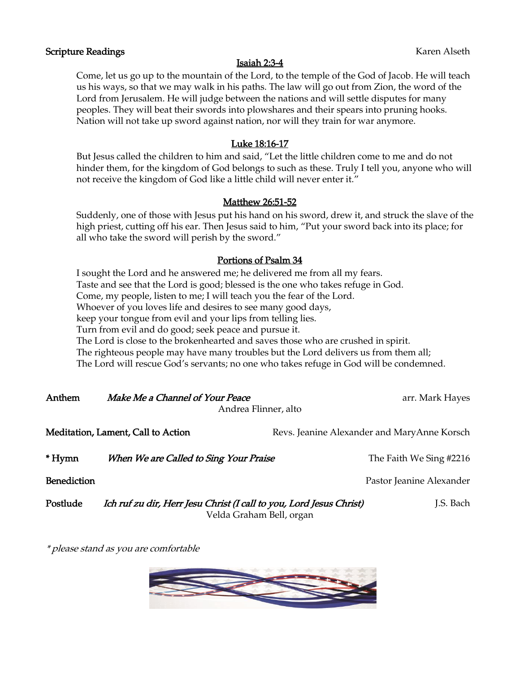#### **Scripture Readings** Karen Alseth

#### *Isaiah 2:3-4*

*Come, let us go up to the mountain of the Lord, to the temple of the God of Jacob. He will teach us his ways, so that we may walk in his paths. The law will go out from Zion, the word of the*  Lord from Jerusalem. He will judge between the nations and will settle disputes for many *peoples. They will beat their swords into plowshares and their spears into pruning hooks. Nation will not take up sword against nation, nor will they train for war anymore.*

### *Luke 18:16-17*

*But Jesus called the children to him and said, "Let the little children come to me and do not hinder them, for the kingdom of God belongs to such as these. Truly I tell you, anyone who will not receive the kingdom of God like a little child will never enter it."*

### *Matthew 26:51-52*

*Suddenly, one of those with Jesus put his hand on his sword, drew it, and struck the slave of the high priest, cutting off his ear. Then Jesus said to him, "Put your sword back into its place; for all who take the sword will perish by the sword."*

#### *Portions of Psalm 34*

*I sought the Lord and he answered me; he delivered me from all my fears. Taste and see that the Lord is good; blessed is the one who takes refuge in God. Come, my people, listen to me; I will teach you the fear of the Lord. Whoever of you loves life and desires to see many good days, keep your tongue from evil and your lips from telling lies. Turn from evil and do good; seek peace and pursue it. The Lord is close to the brokenhearted and saves those who are crushed in spirit. The righteous people may have many troubles but the Lord delivers us from them all; The Lord will rescue God's servants; no one who takes refuge in God will be condemned.*

| Anthem             | Make Me a Channel of Your Peace<br>Andrea Flinner, alto             |                                             | arr. Mark Hayes          |
|--------------------|---------------------------------------------------------------------|---------------------------------------------|--------------------------|
|                    | Meditation, Lament, Call to Action                                  | Revs. Jeanine Alexander and MaryAnne Korsch |                          |
| * Hymn             | When We are Called to Sing Your Praise                              |                                             | The Faith We Sing #2216  |
| <b>Benediction</b> |                                                                     |                                             | Pastor Jeanine Alexander |
| Postlude           | Ich ruf zu dir, Herr Jesu Christ (I call to you, Lord Jesus Christ) |                                             | J.S. Bach                |

*Velda Graham Bell, organ*

*\* please stand as you are comfortable*